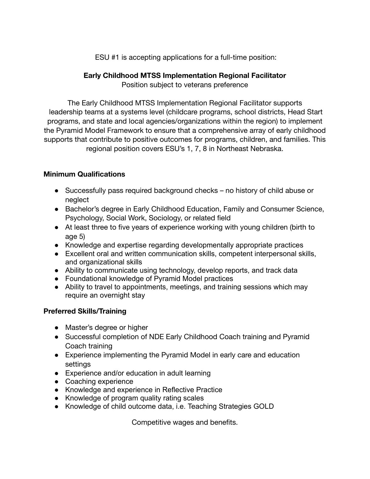ESU #1 is accepting applications for a full-time position:

## **Early Childhood MTSS Implementation Regional Facilitator** Position subject to veterans preference

The Early Childhood MTSS Implementation Regional Facilitator supports leadership teams at a systems level (childcare programs, school districts, Head Start programs, and state and local agencies/organizations within the region) to implement the Pyramid Model Framework to ensure that a comprehensive array of early childhood supports that contribute to positive outcomes for programs, children, and families. This regional position covers ESU's 1, 7, 8 in Northeast Nebraska.

## **Minimum Qualifications**

- Successfully pass required background checks no history of child abuse or neglect
- Bachelor's degree in Early Childhood Education, Family and Consumer Science, Psychology, Social Work, Sociology, or related field
- At least three to five years of experience working with young children (birth to age 5)
- Knowledge and expertise regarding developmentally appropriate practices
- Excellent oral and written communication skills, competent interpersonal skills, and organizational skills
- Ability to communicate using technology, develop reports, and track data
- Foundational knowledge of Pyramid Model practices
- Ability to travel to appointments, meetings, and training sessions which may require an overnight stay

## **Preferred Skills/Training**

- Master's degree or higher
- Successful completion of NDE Early Childhood Coach training and Pyramid Coach training
- Experience implementing the Pyramid Model in early care and education **settings**
- Experience and/or education in adult learning
- Coaching experience
- Knowledge and experience in Reflective Practice
- Knowledge of program quality rating scales
- Knowledge of child outcome data, i.e. Teaching Strategies GOLD

Competitive wages and benefits.